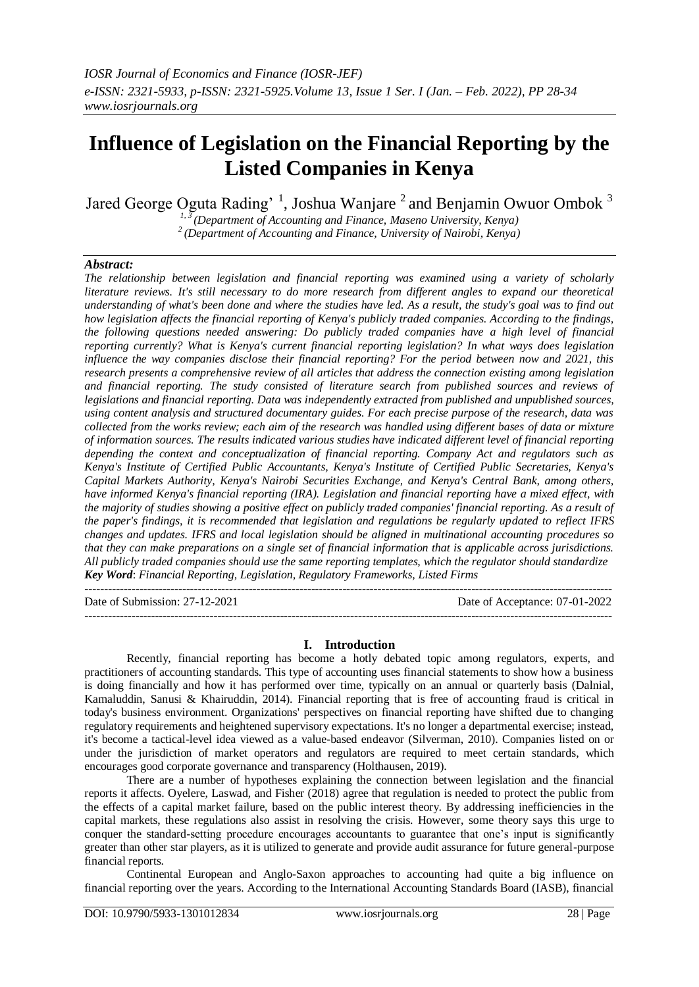# **Influence of Legislation on the Financial Reporting by the Listed Companies in Kenya**

Jared George Oguta Rading'<sup>1</sup>, Joshua Wanjare<sup>2</sup> and Benjamin Owuor Ombok<sup>3</sup>

*1, 3 (Department of Accounting and Finance, Maseno University, Kenya)*

*<sup>2</sup>(Department of Accounting and Finance, University of Nairobi, Kenya)*

# *Abstract:*

*The relationship between legislation and financial reporting was examined using a variety of scholarly literature reviews. It's still necessary to do more research from different angles to expand our theoretical understanding of what's been done and where the studies have led. As a result, the study's goal was to find out how legislation affects the financial reporting of Kenya's publicly traded companies. According to the findings, the following questions needed answering: Do publicly traded companies have a high level of financial reporting currently? What is Kenya's current financial reporting legislation? In what ways does legislation influence the way companies disclose their financial reporting? For the period between now and 2021, this research presents a comprehensive review of all articles that address the connection existing among legislation and financial reporting. The study consisted of literature search from published sources and reviews of legislations and financial reporting. Data was independently extracted from published and unpublished sources, using content analysis and structured documentary guides. For each precise purpose of the research, data was collected from the works review; each aim of the research was handled using different bases of data or mixture of information sources. The results indicated various studies have indicated different level of financial reporting depending the context and conceptualization of financial reporting. Company Act and regulators such as Kenya's Institute of Certified Public Accountants, Kenya's Institute of Certified Public Secretaries, Kenya's Capital Markets Authority, Kenya's Nairobi Securities Exchange, and Kenya's Central Bank, among others, have informed Kenya's financial reporting (IRA). Legislation and financial reporting have a mixed effect, with the majority of studies showing a positive effect on publicly traded companies' financial reporting. As a result of the paper's findings, it is recommended that legislation and regulations be regularly updated to reflect IFRS changes and updates. IFRS and local legislation should be aligned in multinational accounting procedures so that they can make preparations on a single set of financial information that is applicable across jurisdictions. All publicly traded companies should use the same reporting templates, which the regulator should standardize Key Word*: *Financial Reporting, Legislation, Regulatory Frameworks, Listed Firms* ---------------------------------------------------------------------------------------------------------------------------------------

Date of Submission: 27-12-2021 Date of Acceptance: 07-01-2022

---------------------------------------------------------------------------------------------------------------------------------------

**I. Introduction**

Recently, financial reporting has become a hotly debated topic among regulators, experts, and practitioners of accounting standards. This type of accounting uses financial statements to show how a business is doing financially and how it has performed over time, typically on an annual or quarterly basis (Dalnial, Kamaluddin, Sanusi & Khairuddin, 2014). Financial reporting that is free of accounting fraud is critical in today's business environment. Organizations' perspectives on financial reporting have shifted due to changing regulatory requirements and heightened supervisory expectations. It's no longer a departmental exercise; instead, it's become a tactical-level idea viewed as a value-based endeavor (Silverman, 2010). Companies listed on or under the jurisdiction of market operators and regulators are required to meet certain standards, which encourages good corporate governance and transparency (Holthausen, 2019).

There are a number of hypotheses explaining the connection between legislation and the financial reports it affects. Oyelere, Laswad, and Fisher (2018) agree that regulation is needed to protect the public from the effects of a capital market failure, based on the public interest theory. By addressing inefficiencies in the capital markets, these regulations also assist in resolving the crisis. However, some theory says this urge to conquer the standard-setting procedure encourages accountants to guarantee that one's input is significantly greater than other star players, as it is utilized to generate and provide audit assurance for future general-purpose financial reports.

Continental European and Anglo-Saxon approaches to accounting had quite a big influence on financial reporting over the years. According to the International Accounting Standards Board (IASB), financial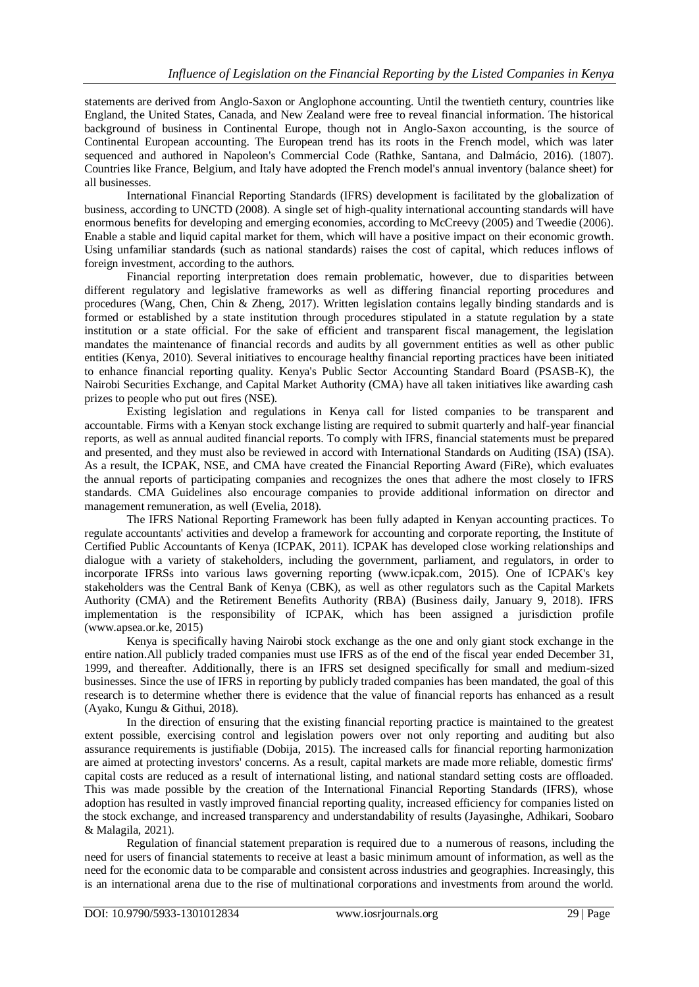statements are derived from Anglo-Saxon or Anglophone accounting. Until the twentieth century, countries like England, the United States, Canada, and New Zealand were free to reveal financial information. The historical background of business in Continental Europe, though not in Anglo-Saxon accounting, is the source of Continental European accounting. The European trend has its roots in the French model, which was later sequenced and authored in Napoleon's Commercial Code (Rathke, Santana, and Dalmácio, 2016). (1807). Countries like France, Belgium, and Italy have adopted the French model's annual inventory (balance sheet) for all businesses.

International Financial Reporting Standards (IFRS) development is facilitated by the globalization of business, according to UNCTD (2008). A single set of high-quality international accounting standards will have enormous benefits for developing and emerging economies, according to McCreevy (2005) and Tweedie (2006). Enable a stable and liquid capital market for them, which will have a positive impact on their economic growth. Using unfamiliar standards (such as national standards) raises the cost of capital, which reduces inflows of foreign investment, according to the authors.

Financial reporting interpretation does remain problematic, however, due to disparities between different regulatory and legislative frameworks as well as differing financial reporting procedures and procedures (Wang, Chen, Chin & Zheng, 2017). Written legislation contains legally binding standards and is formed or established by a state institution through procedures stipulated in a statute regulation by a state institution or a state official. For the sake of efficient and transparent fiscal management, the legislation mandates the maintenance of financial records and audits by all government entities as well as other public entities (Kenya, 2010). Several initiatives to encourage healthy financial reporting practices have been initiated to enhance financial reporting quality. Kenya's Public Sector Accounting Standard Board (PSASB-K), the Nairobi Securities Exchange, and Capital Market Authority (CMA) have all taken initiatives like awarding cash prizes to people who put out fires (NSE).

Existing legislation and regulations in Kenya call for listed companies to be transparent and accountable. Firms with a Kenyan stock exchange listing are required to submit quarterly and half-year financial reports, as well as annual audited financial reports. To comply with IFRS, financial statements must be prepared and presented, and they must also be reviewed in accord with International Standards on Auditing (ISA) (ISA). As a result, the ICPAK, NSE, and CMA have created the Financial Reporting Award (FiRe), which evaluates the annual reports of participating companies and recognizes the ones that adhere the most closely to IFRS standards. CMA Guidelines also encourage companies to provide additional information on director and management remuneration, as well (Evelia, 2018).

The IFRS National Reporting Framework has been fully adapted in Kenyan accounting practices. To regulate accountants' activities and develop a framework for accounting and corporate reporting, the Institute of Certified Public Accountants of Kenya (ICPAK, 2011). ICPAK has developed close working relationships and dialogue with a variety of stakeholders, including the government, parliament, and regulators, in order to incorporate IFRSs into various laws governing reporting (www.icpak.com, 2015). One of ICPAK's key stakeholders was the Central Bank of Kenya (CBK), as well as other regulators such as the Capital Markets Authority (CMA) and the Retirement Benefits Authority (RBA) (Business daily, January 9, 2018). IFRS implementation is the responsibility of ICPAK, which has been assigned a jurisdiction profile (www.apsea.or.ke, 2015)

Kenya is specifically having Nairobi stock exchange as the one and only giant stock exchange in the entire nation.All publicly traded companies must use IFRS as of the end of the fiscal year ended December 31, 1999, and thereafter. Additionally, there is an IFRS set designed specifically for small and medium-sized businesses. Since the use of IFRS in reporting by publicly traded companies has been mandated, the goal of this research is to determine whether there is evidence that the value of financial reports has enhanced as a result (Ayako, Kungu & Githui, 2018).

In the direction of ensuring that the existing financial reporting practice is maintained to the greatest extent possible, exercising control and legislation powers over not only reporting and auditing but also assurance requirements is justifiable (Dobija, 2015). The increased calls for financial reporting harmonization are aimed at protecting investors' concerns. As a result, capital markets are made more reliable, domestic firms' capital costs are reduced as a result of international listing, and national standard setting costs are offloaded. This was made possible by the creation of the International Financial Reporting Standards (IFRS), whose adoption has resulted in vastly improved financial reporting quality, increased efficiency for companies listed on the stock exchange, and increased transparency and understandability of results (Jayasinghe, Adhikari, Soobaro & Malagila, 2021).

Regulation of financial statement preparation is required due to a numerous of reasons, including the need for users of financial statements to receive at least a basic minimum amount of information, as well as the need for the economic data to be comparable and consistent across industries and geographies. Increasingly, this is an international arena due to the rise of multinational corporations and investments from around the world.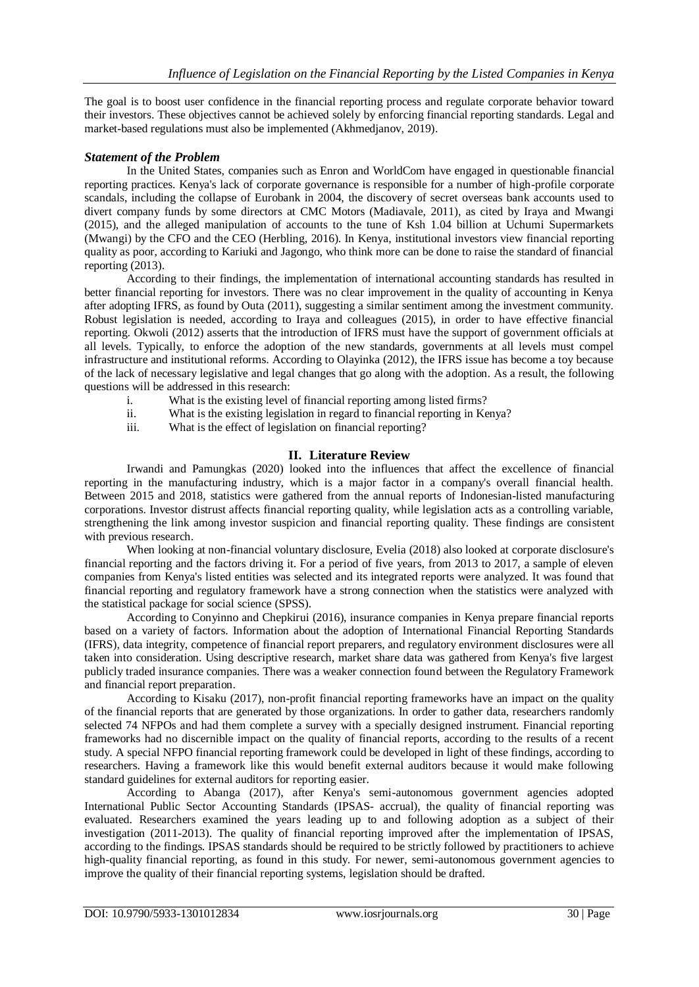The goal is to boost user confidence in the financial reporting process and regulate corporate behavior toward their investors. These objectives cannot be achieved solely by enforcing financial reporting standards. Legal and market-based regulations must also be implemented (Akhmedjanov, 2019).

## *Statement of the Problem*

In the United States, companies such as Enron and WorldCom have engaged in questionable financial reporting practices. Kenya's lack of corporate governance is responsible for a number of high-profile corporate scandals, including the collapse of Eurobank in 2004, the discovery of secret overseas bank accounts used to divert company funds by some directors at CMC Motors (Madiavale, 2011), as cited by Iraya and Mwangi (2015), and the alleged manipulation of accounts to the tune of Ksh 1.04 billion at Uchumi Supermarkets (Mwangi) by the CFO and the CEO (Herbling, 2016). In Kenya, institutional investors view financial reporting quality as poor, according to Kariuki and Jagongo, who think more can be done to raise the standard of financial reporting (2013).

According to their findings, the implementation of international accounting standards has resulted in better financial reporting for investors. There was no clear improvement in the quality of accounting in Kenya after adopting IFRS, as found by Outa (2011), suggesting a similar sentiment among the investment community. Robust legislation is needed, according to Iraya and colleagues (2015), in order to have effective financial reporting. Okwoli (2012) asserts that the introduction of IFRS must have the support of government officials at all levels. Typically, to enforce the adoption of the new standards, governments at all levels must compel infrastructure and institutional reforms. According to Olayinka (2012), the IFRS issue has become a toy because of the lack of necessary legislative and legal changes that go along with the adoption. As a result, the following questions will be addressed in this research:

- i. What is the existing level of financial reporting among listed firms?
- ii. What is the existing legislation in regard to financial reporting in Kenya?
- iii. What is the effect of legislation on financial reporting?

# **II. Literature Review**

Irwandi and Pamungkas (2020) looked into the influences that affect the excellence of financial reporting in the manufacturing industry, which is a major factor in a company's overall financial health. Between 2015 and 2018, statistics were gathered from the annual reports of Indonesian-listed manufacturing corporations. Investor distrust affects financial reporting quality, while legislation acts as a controlling variable, strengthening the link among investor suspicion and financial reporting quality. These findings are consistent with previous research.

When looking at non-financial voluntary disclosure, Evelia (2018) also looked at corporate disclosure's financial reporting and the factors driving it. For a period of five years, from 2013 to 2017, a sample of eleven companies from Kenya's listed entities was selected and its integrated reports were analyzed. It was found that financial reporting and regulatory framework have a strong connection when the statistics were analyzed with the statistical package for social science (SPSS).

According to Conyinno and Chepkirui (2016), insurance companies in Kenya prepare financial reports based on a variety of factors. Information about the adoption of International Financial Reporting Standards (IFRS), data integrity, competence of financial report preparers, and regulatory environment disclosures were all taken into consideration. Using descriptive research, market share data was gathered from Kenya's five largest publicly traded insurance companies. There was a weaker connection found between the Regulatory Framework and financial report preparation.

According to Kisaku (2017), non-profit financial reporting frameworks have an impact on the quality of the financial reports that are generated by those organizations. In order to gather data, researchers randomly selected 74 NFPOs and had them complete a survey with a specially designed instrument. Financial reporting frameworks had no discernible impact on the quality of financial reports, according to the results of a recent study. A special NFPO financial reporting framework could be developed in light of these findings, according to researchers. Having a framework like this would benefit external auditors because it would make following standard guidelines for external auditors for reporting easier.

According to Abanga (2017), after Kenya's semi-autonomous government agencies adopted International Public Sector Accounting Standards (IPSAS- accrual), the quality of financial reporting was evaluated. Researchers examined the years leading up to and following adoption as a subject of their investigation (2011-2013). The quality of financial reporting improved after the implementation of IPSAS, according to the findings. IPSAS standards should be required to be strictly followed by practitioners to achieve high-quality financial reporting, as found in this study. For newer, semi-autonomous government agencies to improve the quality of their financial reporting systems, legislation should be drafted.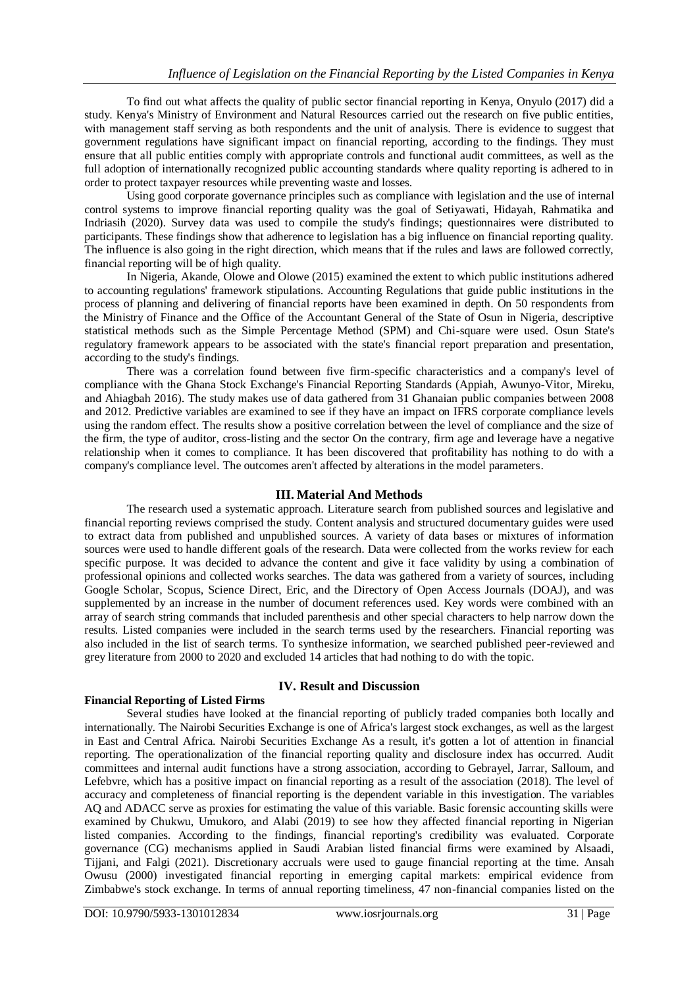To find out what affects the quality of public sector financial reporting in Kenya, Onyulo (2017) did a study. Kenya's Ministry of Environment and Natural Resources carried out the research on five public entities, with management staff serving as both respondents and the unit of analysis. There is evidence to suggest that government regulations have significant impact on financial reporting, according to the findings. They must ensure that all public entities comply with appropriate controls and functional audit committees, as well as the full adoption of internationally recognized public accounting standards where quality reporting is adhered to in order to protect taxpayer resources while preventing waste and losses.

Using good corporate governance principles such as compliance with legislation and the use of internal control systems to improve financial reporting quality was the goal of Setiyawati, Hidayah, Rahmatika and Indriasih (2020). Survey data was used to compile the study's findings; questionnaires were distributed to participants. These findings show that adherence to legislation has a big influence on financial reporting quality. The influence is also going in the right direction, which means that if the rules and laws are followed correctly, financial reporting will be of high quality.

In Nigeria, Akande, Olowe and Olowe (2015) examined the extent to which public institutions adhered to accounting regulations' framework stipulations. Accounting Regulations that guide public institutions in the process of planning and delivering of financial reports have been examined in depth. On 50 respondents from the Ministry of Finance and the Office of the Accountant General of the State of Osun in Nigeria, descriptive statistical methods such as the Simple Percentage Method (SPM) and Chi-square were used. Osun State's regulatory framework appears to be associated with the state's financial report preparation and presentation, according to the study's findings.

There was a correlation found between five firm-specific characteristics and a company's level of compliance with the Ghana Stock Exchange's Financial Reporting Standards (Appiah, Awunyo-Vitor, Mireku, and Ahiagbah 2016). The study makes use of data gathered from 31 Ghanaian public companies between 2008 and 2012. Predictive variables are examined to see if they have an impact on IFRS corporate compliance levels using the random effect. The results show a positive correlation between the level of compliance and the size of the firm, the type of auditor, cross-listing and the sector On the contrary, firm age and leverage have a negative relationship when it comes to compliance. It has been discovered that profitability has nothing to do with a company's compliance level. The outcomes aren't affected by alterations in the model parameters.

## **III. Material And Methods**

The research used a systematic approach. Literature search from published sources and legislative and financial reporting reviews comprised the study. Content analysis and structured documentary guides were used to extract data from published and unpublished sources. A variety of data bases or mixtures of information sources were used to handle different goals of the research. Data were collected from the works review for each specific purpose. It was decided to advance the content and give it face validity by using a combination of professional opinions and collected works searches. The data was gathered from a variety of sources, including Google Scholar, Scopus, Science Direct, Eric, and the Directory of Open Access Journals (DOAJ), and was supplemented by an increase in the number of document references used. Key words were combined with an array of search string commands that included parenthesis and other special characters to help narrow down the results. Listed companies were included in the search terms used by the researchers. Financial reporting was also included in the list of search terms. To synthesize information, we searched published peer-reviewed and grey literature from 2000 to 2020 and excluded 14 articles that had nothing to do with the topic.

## **Financial Reporting of Listed Firms**

## **IV. Result and Discussion**

Several studies have looked at the financial reporting of publicly traded companies both locally and internationally. The Nairobi Securities Exchange is one of Africa's largest stock exchanges, as well as the largest in East and Central Africa. Nairobi Securities Exchange As a result, it's gotten a lot of attention in financial reporting. The operationalization of the financial reporting quality and disclosure index has occurred. Audit committees and internal audit functions have a strong association, according to Gebrayel, Jarrar, Salloum, and Lefebvre, which has a positive impact on financial reporting as a result of the association (2018). The level of accuracy and completeness of financial reporting is the dependent variable in this investigation. The variables AQ and ADACC serve as proxies for estimating the value of this variable. Basic forensic accounting skills were examined by Chukwu, Umukoro, and Alabi (2019) to see how they affected financial reporting in Nigerian listed companies. According to the findings, financial reporting's credibility was evaluated. Corporate governance (CG) mechanisms applied in Saudi Arabian listed financial firms were examined by Alsaadi, Tijjani, and Falgi (2021). Discretionary accruals were used to gauge financial reporting at the time. Ansah Owusu (2000) investigated financial reporting in emerging capital markets: empirical evidence from Zimbabwe's stock exchange. In terms of annual reporting timeliness, 47 non-financial companies listed on the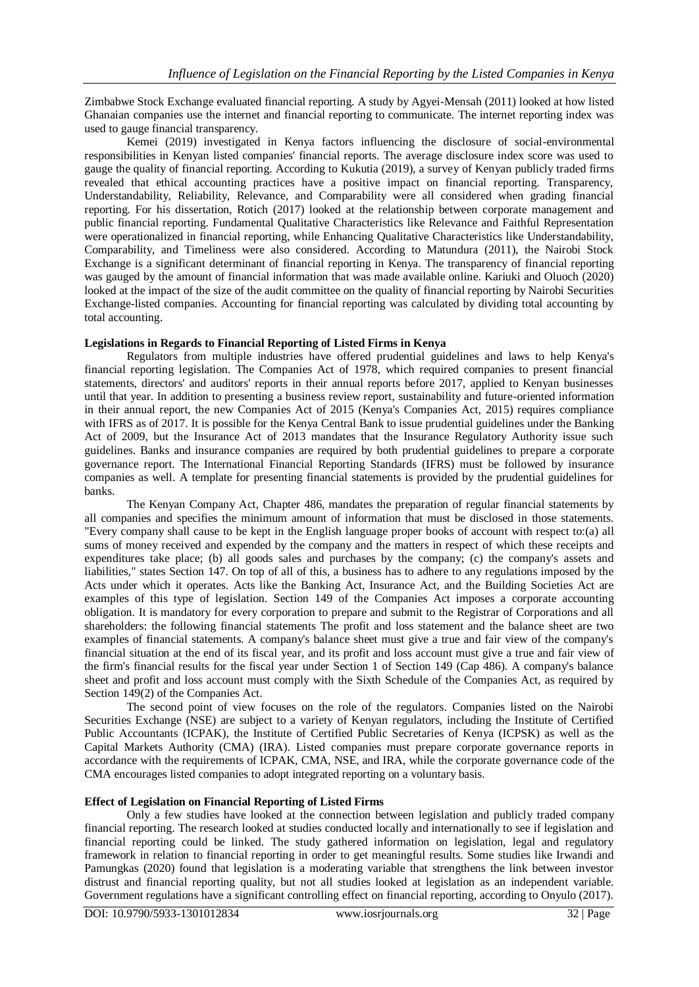Zimbabwe Stock Exchange evaluated financial reporting. A study by Agyei-Mensah (2011) looked at how listed Ghanaian companies use the internet and financial reporting to communicate. The internet reporting index was used to gauge financial transparency.

Kemei (2019) investigated in Kenya factors influencing the disclosure of social-environmental responsibilities in Kenyan listed companies' financial reports. The average disclosure index score was used to gauge the quality of financial reporting. According to Kukutia (2019), a survey of Kenyan publicly traded firms revealed that ethical accounting practices have a positive impact on financial reporting. Transparency, Understandability, Reliability, Relevance, and Comparability were all considered when grading financial reporting. For his dissertation, Rotich (2017) looked at the relationship between corporate management and public financial reporting. Fundamental Qualitative Characteristics like Relevance and Faithful Representation were operationalized in financial reporting, while Enhancing Qualitative Characteristics like Understandability, Comparability, and Timeliness were also considered. According to Matundura (2011), the Nairobi Stock Exchange is a significant determinant of financial reporting in Kenya. The transparency of financial reporting was gauged by the amount of financial information that was made available online. Kariuki and Oluoch (2020) looked at the impact of the size of the audit committee on the quality of financial reporting by Nairobi Securities Exchange-listed companies. Accounting for financial reporting was calculated by dividing total accounting by total accounting.

#### **Legislations in Regards to Financial Reporting of Listed Firms in Kenya**

Regulators from multiple industries have offered prudential guidelines and laws to help Kenya's financial reporting legislation. The Companies Act of 1978, which required companies to present financial statements, directors' and auditors' reports in their annual reports before 2017, applied to Kenyan businesses until that year. In addition to presenting a business review report, sustainability and future-oriented information in their annual report, the new Companies Act of 2015 (Kenya's Companies Act, 2015) requires compliance with IFRS as of 2017. It is possible for the Kenya Central Bank to issue prudential guidelines under the Banking Act of 2009, but the Insurance Act of 2013 mandates that the Insurance Regulatory Authority issue such guidelines. Banks and insurance companies are required by both prudential guidelines to prepare a corporate governance report. The International Financial Reporting Standards (IFRS) must be followed by insurance companies as well. A template for presenting financial statements is provided by the prudential guidelines for banks.

The Kenyan Company Act, Chapter 486, mandates the preparation of regular financial statements by all companies and specifies the minimum amount of information that must be disclosed in those statements. "Every company shall cause to be kept in the English language proper books of account with respect to:(a) all sums of money received and expended by the company and the matters in respect of which these receipts and expenditures take place; (b) all goods sales and purchases by the company; (c) the company's assets and liabilities," states Section 147. On top of all of this, a business has to adhere to any regulations imposed by the Acts under which it operates. Acts like the Banking Act, Insurance Act, and the Building Societies Act are examples of this type of legislation. Section 149 of the Companies Act imposes a corporate accounting obligation. It is mandatory for every corporation to prepare and submit to the Registrar of Corporations and all shareholders: the following financial statements The profit and loss statement and the balance sheet are two examples of financial statements. A company's balance sheet must give a true and fair view of the company's financial situation at the end of its fiscal year, and its profit and loss account must give a true and fair view of the firm's financial results for the fiscal year under Section 1 of Section 149 (Cap 486). A company's balance sheet and profit and loss account must comply with the Sixth Schedule of the Companies Act, as required by Section 149(2) of the Companies Act.

The second point of view focuses on the role of the regulators. Companies listed on the Nairobi Securities Exchange (NSE) are subject to a variety of Kenyan regulators, including the Institute of Certified Public Accountants (ICPAK), the Institute of Certified Public Secretaries of Kenya (ICPSK) as well as the Capital Markets Authority (CMA) (IRA). Listed companies must prepare corporate governance reports in accordance with the requirements of ICPAK, CMA, NSE, and IRA, while the corporate governance code of the CMA encourages listed companies to adopt integrated reporting on a voluntary basis.

## **Effect of Legislation on Financial Reporting of Listed Firms**

Only a few studies have looked at the connection between legislation and publicly traded company financial reporting. The research looked at studies conducted locally and internationally to see if legislation and financial reporting could be linked. The study gathered information on legislation, legal and regulatory framework in relation to financial reporting in order to get meaningful results. Some studies like Irwandi and Pamungkas (2020) found that legislation is a moderating variable that strengthens the link between investor distrust and financial reporting quality, but not all studies looked at legislation as an independent variable. Government regulations have a significant controlling effect on financial reporting, according to Onyulo (2017).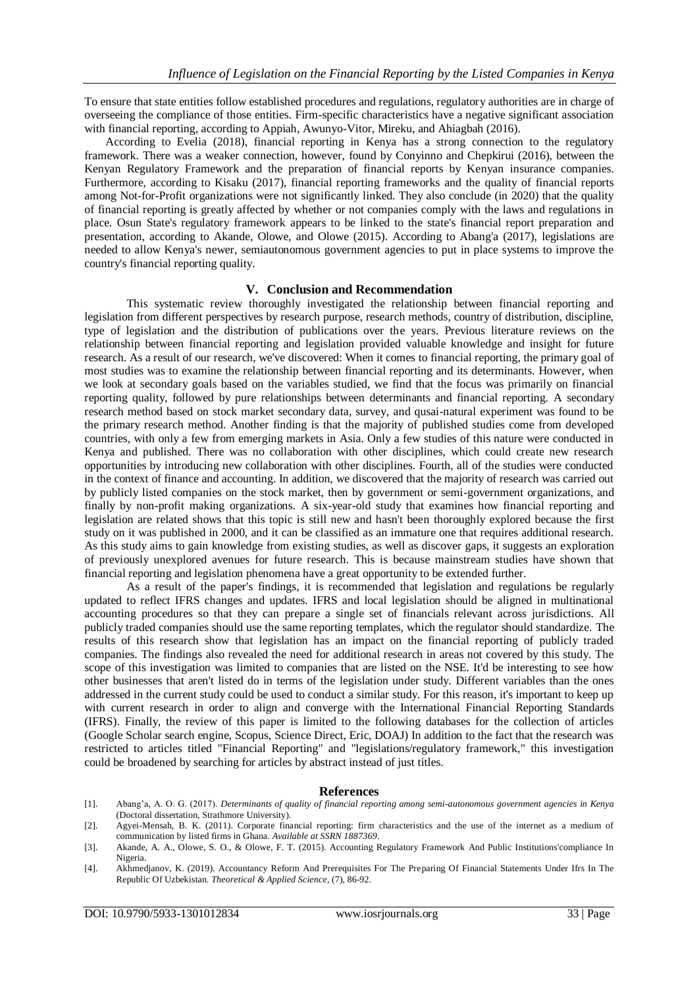To ensure that state entities follow established procedures and regulations, regulatory authorities are in charge of overseeing the compliance of those entities. Firm-specific characteristics have a negative significant association with financial reporting, according to Appiah, Awunyo-Vitor, Mireku, and Ahiagbah (2016).

According to Evelia (2018), financial reporting in Kenya has a strong connection to the regulatory framework. There was a weaker connection, however, found by Conyinno and Chepkirui (2016), between the Kenyan Regulatory Framework and the preparation of financial reports by Kenyan insurance companies. Furthermore, according to Kisaku (2017), financial reporting frameworks and the quality of financial reports among Not-for-Profit organizations were not significantly linked. They also conclude (in 2020) that the quality of financial reporting is greatly affected by whether or not companies comply with the laws and regulations in place. Osun State's regulatory framework appears to be linked to the state's financial report preparation and presentation, according to Akande, Olowe, and Olowe (2015). According to Abang'a (2017), legislations are needed to allow Kenya's newer, semiautonomous government agencies to put in place systems to improve the country's financial reporting quality.

#### **V. Conclusion and Recommendation**

This systematic review thoroughly investigated the relationship between financial reporting and legislation from different perspectives by research purpose, research methods, country of distribution, discipline, type of legislation and the distribution of publications over the years. Previous literature reviews on the relationship between financial reporting and legislation provided valuable knowledge and insight for future research. As a result of our research, we've discovered: When it comes to financial reporting, the primary goal of most studies was to examine the relationship between financial reporting and its determinants. However, when we look at secondary goals based on the variables studied, we find that the focus was primarily on financial reporting quality, followed by pure relationships between determinants and financial reporting. A secondary research method based on stock market secondary data, survey, and qusai-natural experiment was found to be the primary research method. Another finding is that the majority of published studies come from developed countries, with only a few from emerging markets in Asia. Only a few studies of this nature were conducted in Kenya and published. There was no collaboration with other disciplines, which could create new research opportunities by introducing new collaboration with other disciplines. Fourth, all of the studies were conducted in the context of finance and accounting. In addition, we discovered that the majority of research was carried out by publicly listed companies on the stock market, then by government or semi-government organizations, and finally by non-profit making organizations. A six-year-old study that examines how financial reporting and legislation are related shows that this topic is still new and hasn't been thoroughly explored because the first study on it was published in 2000, and it can be classified as an immature one that requires additional research. As this study aims to gain knowledge from existing studies, as well as discover gaps, it suggests an exploration of previously unexplored avenues for future research. This is because mainstream studies have shown that financial reporting and legislation phenomena have a great opportunity to be extended further.

As a result of the paper's findings, it is recommended that legislation and regulations be regularly updated to reflect IFRS changes and updates. IFRS and local legislation should be aligned in multinational accounting procedures so that they can prepare a single set of financials relevant across jurisdictions. All publicly traded companies should use the same reporting templates, which the regulator should standardize. The results of this research show that legislation has an impact on the financial reporting of publicly traded companies. The findings also revealed the need for additional research in areas not covered by this study. The scope of this investigation was limited to companies that are listed on the NSE. It'd be interesting to see how other businesses that aren't listed do in terms of the legislation under study. Different variables than the ones addressed in the current study could be used to conduct a similar study. For this reason, it's important to keep up with current research in order to align and converge with the International Financial Reporting Standards (IFRS). Finally, the review of this paper is limited to the following databases for the collection of articles (Google Scholar search engine, Scopus, Science Direct, Eric, DOAJ) In addition to the fact that the research was restricted to articles titled "Financial Reporting" and "legislations/regulatory framework," this investigation could be broadened by searching for articles by abstract instead of just titles.

#### **References**

- [1]. Abang'a, A. O. G. (2017). *Determinants of quality of financial reporting among semi-autonomous government agencies in Kenya* (Doctoral dissertation, Strathmore University).
- [2]. Agyei-Mensah, B. K. (2011). Corporate financial reporting: firm characteristics and the use of the internet as a medium of communication by listed firms in Ghana. *Available at SSRN 1887369*.
- [3]. Akande, A. A., Olowe, S. O., & Olowe, F. T. (2015). Accounting Regulatory Framework And Public Institutions'compliance In Nigeria.
- [4]. Akhmedjanov, K. (2019). Accountancy Reform And Prerequisites For The Preparing Of Financial Statements Under Ifrs In The Republic Of Uzbekistan. *Theoretical & Applied Science*, (7), 86-92.